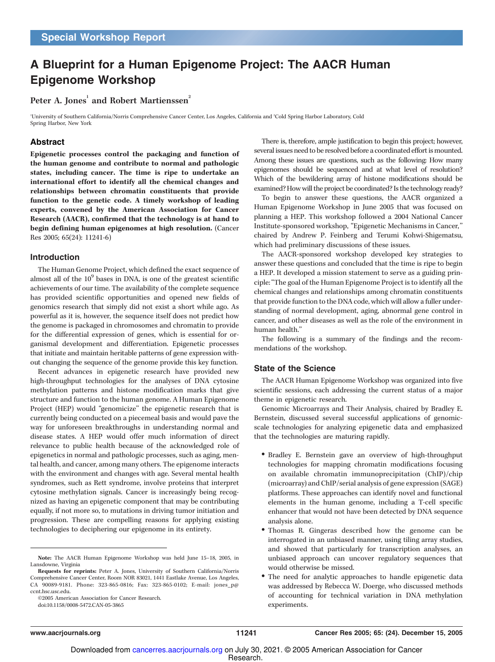### A Blueprint for a Human Epigenome Project: The AACR Human Epigenome Workshop

Peter A. Jones $^{\rm l}$  and Robert Martienssen $^{\rm l}$ 

<sup>1</sup>University of Southern California/Norris Comprehensive Cancer Center, Los Angeles, California and <sup>2</sup>Cold Spring Harbor Laboratory, Cold Spring Harbor, New York

#### **Abstract**

Epigenetic processes control the packaging and function of the human genome and contribute to normal and pathologic states, including cancer. The time is ripe to undertake an international effort to identify all the chemical changes and relationships between chromatin constituents that provide function to the genetic code. A timely workshop of leading experts, convened by the American Association for Cancer Research (AACR), confirmed that the technology is at hand to begin defining human epigenomes at high resolution. (Cancer Res 2005; 65(24): 11241-6)

#### Introduction

The Human Genome Project, which defined the exact sequence of almost all of the  $10^9$  bases in DNA, is one of the greatest scientific achievements of our time. The availability of the complete sequence has provided scientific opportunities and opened new fields of genomics research that simply did not exist a short while ago. As powerful as it is, however, the sequence itself does not predict how the genome is packaged in chromosomes and chromatin to provide for the differential expression of genes, which is essential for organismal development and differentiation. Epigenetic processes that initiate and maintain heritable patterns of gene expression without changing the sequence of the genome provide this key function.

Recent advances in epigenetic research have provided new high-throughput technologies for the analyses of DNA cytosine methylation patterns and histone modification marks that give structure and function to the human genome. A Human Epigenome Project (HEP) would "genomicize" the epigenetic research that is currently being conducted on a piecemeal basis and would pave the way for unforeseen breakthroughs in understanding normal and disease states. A HEP would offer much information of direct relevance to public health because of the acknowledged role of epigenetics in normal and pathologic processes, such as aging, mental health, and cancer, among many others. The epigenome interacts with the environment and changes with age. Several mental health syndromes, such as Rett syndrome, involve proteins that interpret cytosine methylation signals. Cancer is increasingly being recognized as having an epigenetic component that may be contributing equally, if not more so, to mutations in driving tumor initiation and progression. These are compelling reasons for applying existing technologies to deciphering our epigenome in its entirety.

There is, therefore, ample justification to begin this project; however, several issues need to be resolved before a coordinated effort is mounted. Among these issues are questions, such as the following: How many epigenomes should be sequenced and at what level of resolution? Which of the bewildering array of histone modifications should be examined? How will the project be coordinated? Is the technology ready?

To begin to answer these questions, the AACR organized a Human Epigenome Workshop in June 2005 that was focused on planning a HEP. This workshop followed a 2004 National Cancer Institute-sponsored workshop, ''Epigenetic Mechanisms in Cancer, '' chaired by Andrew P. Feinberg and Terumi Kohwi-Shigematsu, which had preliminary discussions of these issues.

The AACR-sponsored workshop developed key strategies to answer these questions and concluded that the time is ripe to begin a HEP. It developed a mission statement to serve as a guiding principle: ''The goal of the Human Epigenome Project is to identify all the chemical changes and relationships among chromatin constituents that provide function to the DNA code, which will allow a fuller understanding of normal development, aging, abnormal gene control in cancer, and other diseases as well as the role of the environment in human health.''

The following is a summary of the findings and the recommendations of the workshop.

#### State of the Science

The AACR Human Epigenome Workshop was organized into five scientific sessions, each addressing the current status of a major theme in epigenetic research.

Genomic Microarrays and Their Analysis, chaired by Bradley E. Bernstein, discussed several successful applications of genomicscale technologies for analyzing epigenetic data and emphasized that the technologies are maturing rapidly.

- . Bradley E. Bernstein gave an overview of high-throughput technologies for mapping chromatin modifications focusing on available chromatin immunoprecipitation (ChIP)/chip (microarray) and ChIP/serial analysis of gene expression (SAGE) platforms. These approaches can identify novel and functional elements in the human genome, including a T-cell specific enhancer that would not have been detected by DNA sequence analysis alone.
- . Thomas R. Gingeras described how the genome can be interrogated in an unbiased manner, using tiling array studies, and showed that particularly for transcription analyses, an unbiased approach can uncover regulatory sequences that would otherwise be missed.
- . The need for analytic approaches to handle epigenetic data was addressed by Rebecca W. Doerge, who discussed methods of accounting for technical variation in DNA methylation experiments.

Note: The AACR Human Epigenome Workshop was held June 15–18, 2005, in Lansdowne, Virginia

Requests for reprints: Peter A. Jones, University of Southern California/Norris Comprehensive Cancer Center, Room NOR 83021, 1441 Eastlake Avenue, Los Angeles, CA 90089-9181. Phone: 323-865-0816; Fax: 323-865-0102; E-mail: jones\_p@ ccnt.hsc.usc.edu.

<sup>©2005</sup> American Association for Cancer Research

doi:10.1158/0008-5472.CAN-05-3865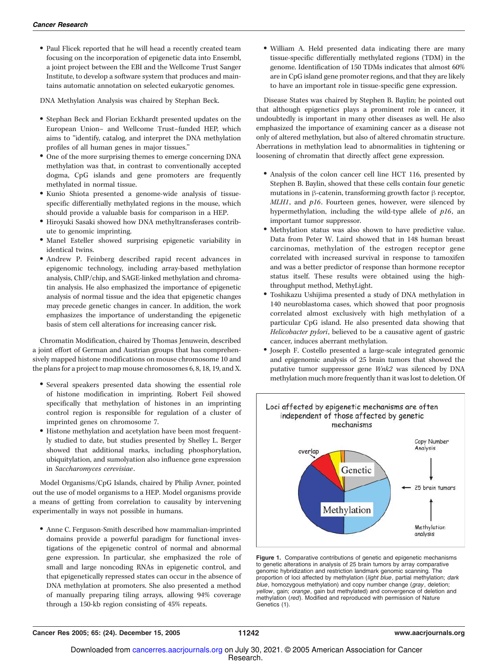. Paul Flicek reported that he will head a recently created team focusing on the incorporation of epigenetic data into Ensembl, a joint project between the EBI and the Wellcome Trust Sanger Institute, to develop a software system that produces and maintains automatic annotation on selected eukaryotic genomes.

DNA Methylation Analysis was chaired by Stephan Beck.

- . Stephan Beck and Florian Eckhardt presented updates on the European Union– and Wellcome Trust–funded HEP, which aims to ''identify, catalog, and interpret the DNA methylation profiles of all human genes in major tissues.''
- . One of the more surprising themes to emerge concerning DNA methylation was that, in contrast to conventionally accepted dogma, CpG islands and gene promoters are frequently methylated in normal tissue.
- . Kunio Shiota presented a genome-wide analysis of tissuespecific differentially methylated regions in the mouse, which should provide a valuable basis for comparison in a HEP.
- . Hiroyuki Sasaki showed how DNA methyltransferases contribute to genomic imprinting.
- . Manel Esteller showed surprising epigenetic variability in identical twins.
- . Andrew P. Feinberg described rapid recent advances in epigenomic technology, including array-based methylation analysis, ChIP/chip, and SAGE-linked methylation and chromatin analysis. He also emphasized the importance of epigenetic analysis of normal tissue and the idea that epigenetic changes may precede genetic changes in cancer. In addition, the work emphasizes the importance of understanding the epigenetic basis of stem cell alterations for increasing cancer risk.

Chromatin Modification, chaired by Thomas Jenuwein, described a joint effort of German and Austrian groups that has comprehensively mapped histone modifications on mouse chromosome 10 and the plans for a project to map mouse chromosomes 6, 8, 18, 19, and X.

- . Several speakers presented data showing the essential role of histone modification in imprinting. Robert Feil showed specifically that methylation of histones in an imprinting control region is responsible for regulation of a cluster of imprinted genes on chromosome 7.
- . Histone methylation and acetylation have been most frequently studied to date, but studies presented by Shelley L. Berger showed that additional marks, including phosphorylation, ubiquitylation, and sumolyation also influence gene expression in Saccharomyces cerevisiae.

Model Organisms/CpG Islands, chaired by Philip Avner, pointed out the use of model organisms to a HEP. Model organisms provide a means of getting from correlation to causality by intervening experimentally in ways not possible in humans.

. Anne C. Ferguson-Smith described how mammalian-imprinted domains provide a powerful paradigm for functional investigations of the epigenetic control of normal and abnormal gene expression. In particular, she emphasized the role of small and large noncoding RNAs in epigenetic control, and that epigenetically repressed states can occur in the absence of DNA methylation at promoters. She also presented a method of manually preparing tiling arrays, allowing 94% coverage through a 150-kb region consisting of 45% repeats.

. William A. Held presented data indicating there are many tissue-specific differentially methylated regions (TDM) in the genome. Identification of 150 TDMs indicates that almost 60% are in CpG island gene promoter regions, and that they are likely to have an important role in tissue-specific gene expression.

Disease States was chaired by Stephen B. Baylin; he pointed out that although epigenetics plays a prominent role in cancer, it undoubtedly is important in many other diseases as well. He also emphasized the importance of examining cancer as a disease not only of altered methylation, but also of altered chromatin structure. Aberrations in methylation lead to abnormalities in tightening or loosening of chromatin that directly affect gene expression.

- . Analysis of the colon cancer cell line HCT 116, presented by Stephen B. Baylin, showed that these cells contain four genetic mutations in  $\beta$ -catenin, transforming growth factor  $\beta$  receptor, MLH1, and  $p16$ . Fourteen genes, however, were silenced by hypermethylation, including the wild-type allele of  $p16$ , an important tumor suppressor.
- . Methylation status was also shown to have predictive value. Data from Peter W. Laird showed that in 148 human breast carcinomas, methylation of the estrogen receptor gene correlated with increased survival in response to tamoxifen and was a better predictor of response than hormone receptor status itself. These results were obtained using the highthroughput method, MethyLight.
- . Toshikazu Ushijima presented a study of DNA methylation in 140 neuroblastoma cases, which showed that poor prognosis correlated almost exclusively with high methylation of a particular CpG island. He also presented data showing that Helicobacter pylori, believed to be a causative agent of gastric cancer, induces aberrant methylation.
- . Joseph F. Costello presented a large-scale integrated genomic and epigenomic analysis of 25 brain tumors that showed the putative tumor suppressor gene Wnk2 was silenced by DNA methylation much more frequently than it was lost to deletion. Of



Figure 1. Comparative contributions of genetic and epigenetic mechanisms to genetic alterations in analysis of 25 brain tumors by array comparative genomic hybridization and restriction landmark genomic scanning. The proportion of loci affected by methylation (light blue, partial methylation; dark blue, homozygous methylation) and copy number change (gray, deletion; yellow, gain; orange, gain but methylated) and convergence of deletion and methylation (red). Modified and reproduced with permission of Nature Genetics (1).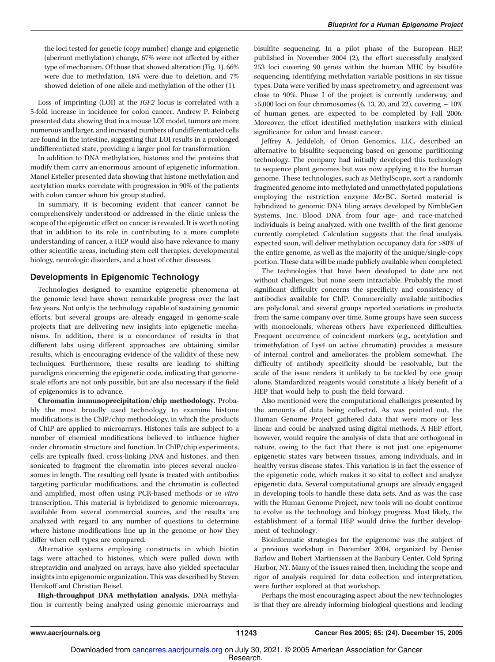the loci tested for genetic (copy number) change and epigenetic (aberrant methylation) change, 67% were not affected by either type of mechanism. Of those that showed alteration (Fig. 1), 66% were due to methylation, 18% were due to deletion, and 7% showed deletion of one allele and methylation of the other (1).

Loss of imprinting (LOI) at the IGF2 locus is correlated with a 5-fold increase in incidence for colon cancer. Andrew P. Feinberg presented data showing that in a mouse LOI model, tumors are more numerous and larger, and increased numbers of undifferentiated cells are found in the intestine, suggesting that LOI results in a prolonged undifferentiated state, providing a larger pool for transformation.

In addition to DNA methylation, histones and the proteins that modify them carry an enormous amount of epigenetic information. Manel Esteller presented data showing that histone methylation and acetylation marks correlate with progression in 90% of the patients with colon cancer whom his group studied.

In summary, it is becoming evident that cancer cannot be comprehensively understood or addressed in the clinic unless the scope of the epigenetic effect on cancer is revealed. It is worth noting that in addition to its role in contributing to a more complete understanding of cancer, a HEP would also have relevance to many other scientific areas, including stem cell therapies, developmental biology, neurologic disorders, and a host of other diseases.

#### Developments in Epigenomic Technology

Technologies designed to examine epigenetic phenomena at the genomic level have shown remarkable progress over the last few years. Not only is the technology capable of sustaining genomic efforts, but several groups are already engaged in genome-scale projects that are delivering new insights into epigenetic mechanisms. In addition, there is a concordance of results in that different labs using different approaches are obtaining similar results, which is encouraging evidence of the validity of these new techniques. Furthermore, these results are leading to shifting paradigms concerning the epigenetic code, indicating that genomescale efforts are not only possible, but are also necessary if the field of epigenomics is to advance.

Chromatin immunoprecipitation/chip methodology. Probably the most broadly used technology to examine histone modifications is the ChIP/chip methodology, in which the products of ChIP are applied to microarrays. Histones tails are subject to a number of chemical modifications believed to influence higher order chromatin structure and function. In ChIP/chip experiments, cells are typically fixed, cross-linking DNA and histones, and then sonicated to fragment the chromatin into pieces several nucleosomes in length. The resulting cell lysate is treated with antibodies targeting particular modifications, and the chromatin is collected and amplified, most often using PCR-based methods or in vitro transcription. This material is hybridized to genomic microarrays, available from several commercial sources, and the results are analyzed with regard to any number of questions to determine where histone modifications line up in the genome or how they differ when cell types are compared.

Alternative systems employing constructs in which biotin tags were attached to histones, which were pulled down with streptavidin and analyzed on arrays, have also yielded spectacular insights into epigenomic organization. This was described by Steven Henikoff and Christian Beisel.

High-throughput DNA methylation analysis. DNA methylation is currently being analyzed using genomic microarrays and bisulfite sequencing. In a pilot phase of the European HEP, published in November 2004 (2), the effort successfully analyzed 253 loci covering 90 genes within the human MHC by bisulfite sequencing, identifying methylation variable positions in six tissue types. Data were verified by mass spectrometry, and agreement was close to 90%. Phase I of the project is currently underway, and >5,000 loci on four chromosomes (6, 13, 20, and 22), covering  $\sim$  10% of human genes, are expected to be completed by Fall 2006. Moreover, the effort identified methylation markers with clinical significance for colon and breast cancer.

Jeffrey A. Jeddeloh, of Orion Genomics, LLC, described an alternative to bisulfite sequencing based on genome partitioning technology. The company had initially developed this technology to sequence plant genomes but was now applying it to the human genome. These technologies, such as MethylScope, sort a randomly fragmented genome into methylated and unmethylated populations employing the restriction enzyme McrBC. Sorted material is hybridized to genomic DNA tiling arrays developed by NimbleGen Systems, Inc. Blood DNA from four age- and race-matched individuals is being analyzed, with one twelfth of the first genome currently completed. Calculation suggests that the final analysis, expected soon, will deliver methylation occupancy data for >80% of the entire genome, as well as the majority of the unique/single-copy portion. These data will be made publicly available when completed.

The technologies that have been developed to date are not without challenges, but none seem intractable. Probably the most significant difficulty concerns the specificity and consistency of antibodies available for ChIP. Commercially available antibodies are polyclonal, and several groups reported variations in products from the same company over time. Some groups have seen success with monoclonals, whereas others have experienced difficulties. Frequent occurrence of coincident markers (e.g., acetylation and trimethylation of Lys4 on active chromatin) provides a measure of internal control and ameliorates the problem somewhat. The difficulty of antibody specificity should be resolvable, but the scale of the issue renders it unlikely to be tackled by one group alone. Standardized reagents would constitute a likely benefit of a HEP that would help to push the field forward.

Also mentioned were the computational challenges presented by the amounts of data being collected. As was pointed out, the Human Genome Project gathered data that were more or less linear and could be analyzed using digital methods. A HEP effort, however, would require the analysis of data that are orthogonal in nature, owing to the fact that there is not just one epigenome: epigenetic states vary between tissues, among individuals, and in healthy versus disease states. This variation is in fact the essence of the epigenetic code, which makes it so vital to collect and analyze epigenetic data. Several computational groups are already engaged in developing tools to handle these data sets. And as was the case with the Human Genome Project, new tools will no doubt continue to evolve as the technology and biology progress. Most likely, the establishment of a formal HEP would drive the further development of technology.

Bioinformatic strategies for the epigenome was the subject of a previous workshop in December 2004, organized by Denise Barlow and Robert Martienssen at the Banbury Center, Cold Spring Harbor, NY. Many of the issues raised then, including the scope and rigor of analysis required for data collection and interpretation, were further explored at that workshop.

Perhaps the most encouraging aspect about the new technologies is that they are already informing biological questions and leading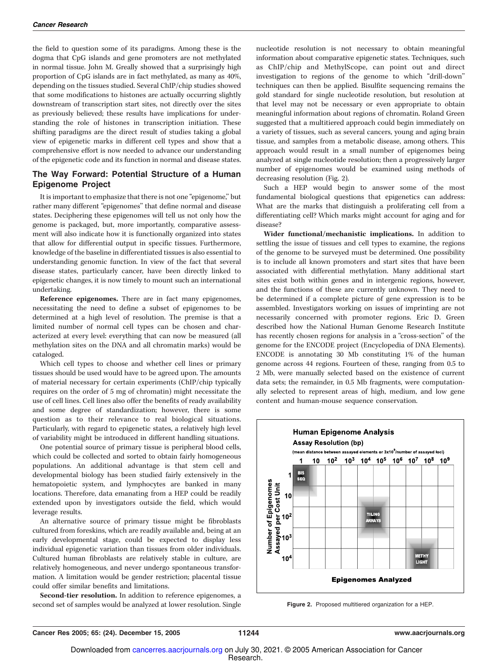the field to question some of its paradigms. Among these is the dogma that CpG islands and gene promoters are not methylated in normal tissue. John M. Greally showed that a surprisingly high proportion of CpG islands are in fact methylated, as many as 40%, depending on the tissues studied. Several ChIP/chip studies showed that some modifications to histones are actually occurring slightly downstream of transcription start sites, not directly over the sites as previously believed; these results have implications for understanding the role of histones in transcription initiation. These shifting paradigms are the direct result of studies taking a global view of epigenetic marks in different cell types and show that a comprehensive effort is now needed to advance our understanding of the epigenetic code and its function in normal and disease states.

#### The Way Forward: Potential Structure of a Human Epigenome Project

It is important to emphasize that there is not one ''epigenome,'' but rather many different "epigenomes" that define normal and disease states. Deciphering these epigenomes will tell us not only how the genome is packaged, but, more importantly, comparative assessment will also indicate how it is functionally organized into states that allow for differential output in specific tissues. Furthermore, knowledge of the baseline in differentiated tissues is also essential to understanding genomic function. In view of the fact that several disease states, particularly cancer, have been directly linked to epigenetic changes, it is now timely to mount such an international undertaking.

Reference epigenomes. There are in fact many epigenomes, necessitating the need to define a subset of epigenomes to be determined at a high level of resolution. The premise is that a limited number of normal cell types can be chosen and characterized at every level: everything that can now be measured (all methylation sites on the DNA and all chromatin marks) would be cataloged.

Which cell types to choose and whether cell lines or primary tissues should be used would have to be agreed upon. The amounts of material necessary for certain experiments (ChIP/chip typically requires on the order of 5 mg of chromatin) might necessitate the use of cell lines. Cell lines also offer the benefits of ready availability and some degree of standardization; however, there is some question as to their relevance to real biological situations. Particularly, with regard to epigenetic states, a relatively high level of variability might be introduced in different handling situations.

One potential source of primary tissue is peripheral blood cells, which could be collected and sorted to obtain fairly homogeneous populations. An additional advantage is that stem cell and developmental biology has been studied fairly extensively in the hematopoietic system, and lymphocytes are banked in many locations. Therefore, data emanating from a HEP could be readily extended upon by investigators outside the field, which would leverage results.

An alternative source of primary tissue might be fibroblasts cultured from foreskins, which are readily available and, being at an early developmental stage, could be expected to display less individual epigenetic variation than tissues from older individuals. Cultured human fibroblasts are relatively stable in culture, are relatively homogeneous, and never undergo spontaneous transformation. A limitation would be gender restriction; placental tissue could offer similar benefits and limitations.

Second-tier resolution. In addition to reference epigenomes, a second set of samples would be analyzed at lower resolution. Single nucleotide resolution is not necessary to obtain meaningful information about comparative epigenetic states. Techniques, such as ChIP/chip and MethylScope, can point out and direct investigation to regions of the genome to which ''drill-down'' techniques can then be applied. Bisulfite sequencing remains the gold standard for single nucleotide resolution, but resolution at that level may not be necessary or even appropriate to obtain meaningful information about regions of chromatin. Roland Green suggested that a multitiered approach could begin immediately on a variety of tissues, such as several cancers, young and aging brain tissue, and samples from a metabolic disease, among others. This approach would result in a small number of epigenomes being analyzed at single nucleotide resolution; then a progressively larger number of epigenomes would be examined using methods of decreasing resolution (Fig. 2).

Such a HEP would begin to answer some of the most fundamental biological questions that epigenetics can address: What are the marks that distinguish a proliferating cell from a differentiating cell? Which marks might account for aging and for disease?

Wider functional/mechanistic implications. In addition to settling the issue of tissues and cell types to examine, the regions of the genome to be surveyed must be determined. One possibility is to include all known promoters and start sites that have been associated with differential methylation. Many additional start sites exist both within genes and in intergenic regions, however, and the functions of these are currently unknown. They need to be determined if a complete picture of gene expression is to be assembled. Investigators working on issues of imprinting are not necessarily concerned with promoter regions. Eric D. Green described how the National Human Genome Research Institute has recently chosen regions for analysis in a "cross-section" of the genome for the ENCODE project (Encyclopedia of DNA Elements). ENCODE is annotating 30 Mb constituting 1% of the human genome across 44 regions. Fourteen of these, ranging from 0.5 to 2 Mb, were manually selected based on the existence of current data sets; the remainder, in 0.5 Mb fragments, were computationally selected to represent areas of high, medium, and low gene content and human-mouse sequence conservation.



Figure 2. Proposed multitiered organization for a HEP.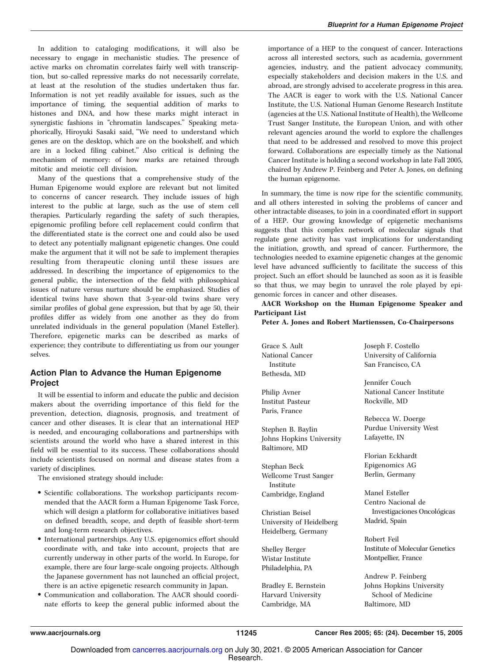In addition to cataloging modifications, it will also be necessary to engage in mechanistic studies. The presence of active marks on chromatin correlates fairly well with transcription, but so-called repressive marks do not necessarily correlate, at least at the resolution of the studies undertaken thus far. Information is not yet readily available for issues, such as the importance of timing, the sequential addition of marks to histones and DNA, and how these marks might interact in synergistic fashions in ''chromatin landscapes.'' Speaking metaphorically, Hiroyuki Sasaki said, ''We need to understand which genes are on the desktop, which are on the bookshelf, and which are in a locked filing cabinet.'' Also critical is defining the mechanism of memory: of how marks are retained through mitotic and meiotic cell division.

Many of the questions that a comprehensive study of the Human Epigenome would explore are relevant but not limited to concerns of cancer research. They include issues of high interest to the public at large, such as the use of stem cell therapies. Particularly regarding the safety of such therapies, epigenomic profiling before cell replacement could confirm that the differentiated state is the correct one and could also be used to detect any potentially malignant epigenetic changes. One could make the argument that it will not be safe to implement therapies resulting from therapeutic cloning until these issues are addressed. In describing the importance of epigenomics to the general public, the intersection of the field with philosophical issues of nature versus nurture should be emphasized. Studies of identical twins have shown that 3-year-old twins share very similar profiles of global gene expression, but that by age 50, their profiles differ as widely from one another as they do from unrelated individuals in the general population (Manel Esteller). Therefore, epigenetic marks can be described as marks of experience; they contribute to differentiating us from our younger selves.

#### Action Plan to Advance the Human Epigenome Project

It will be essential to inform and educate the public and decision makers about the overriding importance of this field for the prevention, detection, diagnosis, prognosis, and treatment of cancer and other diseases. It is clear that an international HEP is needed, and encouraging collaborations and partnerships with scientists around the world who have a shared interest in this field will be essential to its success. These collaborations should include scientists focused on normal and disease states from a variety of disciplines.

The envisioned strategy should include:

- . Scientific collaborations. The workshop participants recommended that the AACR form a Human Epigenome Task Force, which will design a platform for collaborative initiatives based on defined breadth, scope, and depth of feasible short-term and long-term research objectives.
- . International partnerships. Any U.S. epigenomics effort should coordinate with, and take into account, projects that are currently underway in other parts of the world. In Europe, for example, there are four large-scale ongoing projects. Although the Japanese government has not launched an official project, there is an active epigenetic research community in Japan.
- . Communication and collaboration. The AACR should coordinate efforts to keep the general public informed about the

importance of a HEP to the conquest of cancer. Interactions across all interested sectors, such as academia, government agencies, industry, and the patient advocacy community, especially stakeholders and decision makers in the U.S. and abroad, are strongly advised to accelerate progress in this area. The AACR is eager to work with the U.S. National Cancer Institute, the U.S. National Human Genome Research Institute (agencies at the U.S. National Institute of Health), the Wellcome Trust Sanger Institute, the European Union, and with other relevant agencies around the world to explore the challenges that need to be addressed and resolved to move this project forward. Collaborations are especially timely as the National Cancer Institute is holding a second workshop in late Fall 2005, chaired by Andrew P. Feinberg and Peter A. Jones, on defining the human epigenome.

In summary, the time is now ripe for the scientific community, and all others interested in solving the problems of cancer and other intractable diseases, to join in a coordinated effort in support of a HEP. Our growing knowledge of epigenetic mechanisms suggests that this complex network of molecular signals that regulate gene activity has vast implications for understanding the initiation, growth, and spread of cancer. Furthermore, the technologies needed to examine epigenetic changes at the genomic level have advanced sufficiently to facilitate the success of this project. Such an effort should be launched as soon as it is feasible so that thus, we may begin to unravel the role played by epigenomic forces in cancer and other diseases.

#### AACR Workshop on the Human Epigenome Speaker and Participant List

Peter A. Jones and Robert Martienssen, Co-Chairpersons

| Grace S. Ault                      | Joseph F. Costello                     |
|------------------------------------|----------------------------------------|
| <b>National Cancer</b>             | University of California               |
| Institute                          | San Francisco, CA                      |
| Bethesda, MD                       |                                        |
|                                    | Jennifer Couch                         |
| Philip Avner                       | National Cancer Institute              |
| <b>Institut Pasteur</b>            | Rockville, MD                          |
| Paris, France                      |                                        |
|                                    | Rebecca W. Doerge                      |
| Stephen B. BayIin                  | Purdue University West                 |
| Johns Hopkins University           | Lafayette, IN                          |
| Baltimore, MD                      |                                        |
|                                    | Florian Eckhardt                       |
| Stephan Beck                       | Epigenomics AG                         |
| Wellcome Trust Sanger<br>Institute | Berlin, Germany                        |
| Cambridge, England                 | Manel Esteller                         |
|                                    | Centro Nacional de                     |
| Christian Beisel                   | Investigaciones Oncológicas            |
| University of Heidelberg           | Madrid, Spain                          |
| Heidelberg, Germany                |                                        |
|                                    | Robert Feil                            |
| Shelley Berger                     | <b>Institute of Molecular Genetics</b> |
| Wistar Institute                   | Montpellier, France                    |
| Philadelphia, PA                   |                                        |
|                                    | Andrew P. Feinberg                     |
| Bradley E. Bernstein               | Johns Hopkins University               |
| Harvard University                 | School of Medicine                     |

Cambridge, MA

Baltimore, MD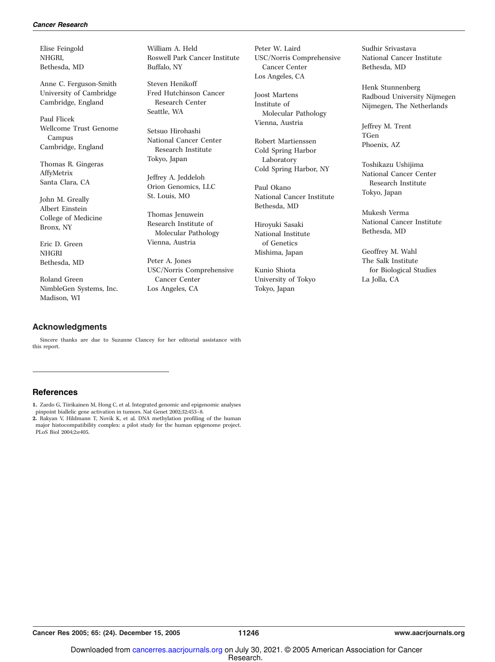#### Cancer Research

Elise Feingold NHGRI, Bethesda, MD

Anne C. Ferguson-Smith University of Cambridge Cambridge, England

Paul Flicek Wellcome Trust Genome Campus Cambridge, England

Thomas R. Gingeras AffyMetrix Santa Clara, CA

John M. Greally Albert Einstein College of Medicine Bronx, NY

Eric D. Green NHGRI Bethesda, MD

Roland Green NimbleGen Systems, Inc. Madison, WI

#### William A. Held Roswell Park Cancer Institute Buffalo, NY

Steven Henikoff Fred Hutchinson Cancer Research Center Seattle, WA

Setsuo Hirohashi National Cancer Center Research Institute Tokyo, Japan

Jeffrey A. Jeddeloh Orion Genomics, LLC St. Louis, MO

Thomas Jenuwein Research Institute of Molecular Pathology Vienna, Austria

Peter A. Jones USC/Norris Comprehensive Cancer Center Los Angeles, CA

Peter W. Laird USC/Norris Comprehensive Cancer Center Los Angeles, CA

Joost Martens Institute of Molecular Pathology Vienna, Austria

Robert Martienssen Cold Spring Harbor Laboratory Cold Spring Harbor, NY

Paul Okano National Cancer Institute Bethesda, MD

Hiroyuki Sasaki National Institute of Genetics Mishima, Japan

Kunio Shiota University of Tokyo Tokyo, Japan

Sudhir Srivastava National Cancer Institute Bethesda, MD

Henk Stunnenberg Radboud University Nijmegen Nijmegen, The Netherlands

Jeffrey M. Trent TGen Phoenix, AZ

Toshikazu Ushijima National Cancer Center Research Institute Tokyo, Japan

Mukesh Verma National Cancer Institute Bethesda, MD

Geoffrey M. Wahl The Salk Institute for Biological Studies La Jolla, CA

#### Acknowledgments

Sincere thanks are due to Suzanne Clancey for her editorial assistance with this report.

#### References

1. Zardo G, Tiirikainen M, Hong C, et al. Integrated genomic and epigenomic analyses pinpoint biallelic gene activation in tumors. Nat Genet 2002;32:453–8.

2. Rakyan V, Hildmann T, Novik K, et al. DNA methylation profiling of the human major histocompatibility complex: a pilot study for the human epigenome project. PLoS Biol 2004;2:e405.